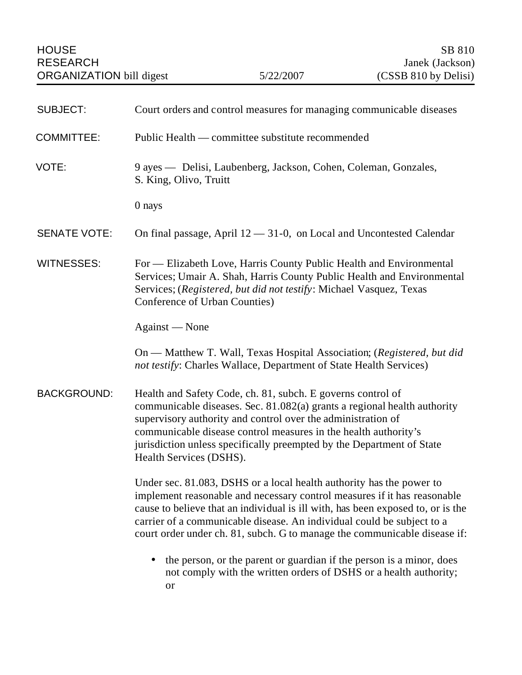| <b>SUBJECT:</b>     | Court orders and control measures for managing communicable diseases                                                                                                                                                                                                                                                                                                                       |
|---------------------|--------------------------------------------------------------------------------------------------------------------------------------------------------------------------------------------------------------------------------------------------------------------------------------------------------------------------------------------------------------------------------------------|
| <b>COMMITTEE:</b>   | Public Health — committee substitute recommended                                                                                                                                                                                                                                                                                                                                           |
| VOTE:               | 9 ayes — Delisi, Laubenberg, Jackson, Cohen, Coleman, Gonzales,<br>S. King, Olivo, Truitt                                                                                                                                                                                                                                                                                                  |
|                     | 0 nays                                                                                                                                                                                                                                                                                                                                                                                     |
| <b>SENATE VOTE:</b> | On final passage, April $12 - 31 - 0$ , on Local and Uncontested Calendar                                                                                                                                                                                                                                                                                                                  |
| <b>WITNESSES:</b>   | For — Elizabeth Love, Harris County Public Health and Environmental<br>Services; Umair A. Shah, Harris County Public Health and Environmental<br>Services; (Registered, but did not testify: Michael Vasquez, Texas<br>Conference of Urban Counties)                                                                                                                                       |
|                     | Against — None                                                                                                                                                                                                                                                                                                                                                                             |
|                     | On — Matthew T. Wall, Texas Hospital Association; (Registered, but did<br>not testify: Charles Wallace, Department of State Health Services)                                                                                                                                                                                                                                               |
| <b>BACKGROUND:</b>  | Health and Safety Code, ch. 81, subch. E governs control of<br>communicable diseases. Sec. 81.082(a) grants a regional health authority<br>supervisory authority and control over the administration of<br>communicable disease control measures in the health authority's<br>jurisdiction unless specifically preempted by the Department of State<br>Health Services (DSHS).             |
|                     | Under sec. 81.083, DSHS or a local health authority has the power to<br>implement reasonable and necessary control measures if it has reasonable<br>cause to believe that an individual is ill with, has been exposed to, or is the<br>carrier of a communicable disease. An individual could be subject to a<br>court order under ch. 81, subch. G to manage the communicable disease if: |
|                     | the person, or the parent or guardian if the person is a minor, does<br>not comply with the written orders of DSHS or a health authority;<br><b>or</b>                                                                                                                                                                                                                                     |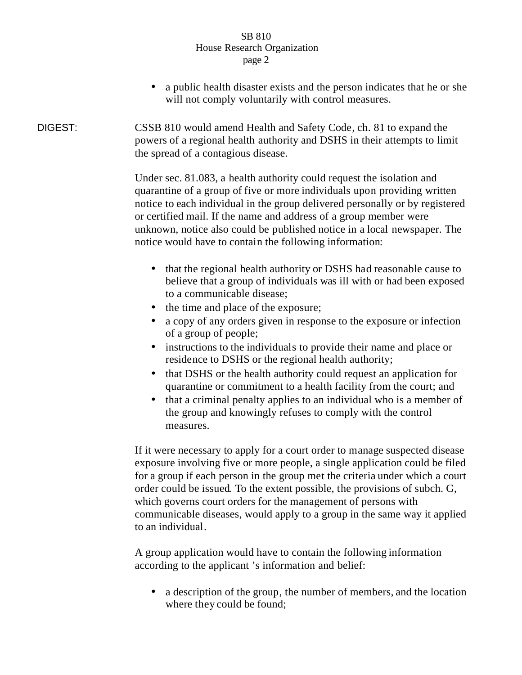## SB 810 House Research Organization page 2

• a public health disaster exists and the person indicates that he or she will not comply voluntarily with control measures.

DIGEST: CSSB 810 would amend Health and Safety Code, ch. 81 to expand the powers of a regional health authority and DSHS in their attempts to limit the spread of a contagious disease.

> Under sec. 81.083, a health authority could request the isolation and quarantine of a group of five or more individuals upon providing written notice to each individual in the group delivered personally or by registered or certified mail. If the name and address of a group member were unknown, notice also could be published notice in a local newspaper. The notice would have to contain the following information:

- that the regional health authority or DSHS had reasonable cause to believe that a group of individuals was ill with or had been exposed to a communicable disease;
- the time and place of the exposure;
- a copy of any orders given in response to the exposure or infection of a group of people;
- instructions to the individuals to provide their name and place or residence to DSHS or the regional health authority;
- that DSHS or the health authority could request an application for quarantine or commitment to a health facility from the court; and
- that a criminal penalty applies to an individual who is a member of the group and knowingly refuses to comply with the control measures.

If it were necessary to apply for a court order to manage suspected disease exposure involving five or more people, a single application could be filed for a group if each person in the group met the criteria under which a court order could be issued. To the extent possible, the provisions of subch. G, which governs court orders for the management of persons with communicable diseases, would apply to a group in the same way it applied to an individual.

A group application would have to contain the following information according to the applicant 's information and belief:

• a description of the group, the number of members, and the location where they could be found;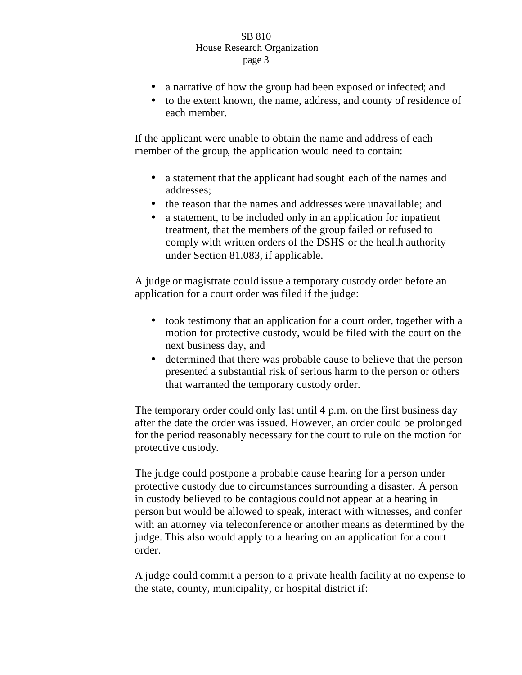## SB 810 House Research Organization page 3

- a narrative of how the group had been exposed or infected; and
- to the extent known, the name, address, and county of residence of each member.

If the applicant were unable to obtain the name and address of each member of the group, the application would need to contain:

- a statement that the applicant had sought each of the names and addresses;
- the reason that the names and addresses were unavailable; and
- a statement, to be included only in an application for inpatient treatment, that the members of the group failed or refused to comply with written orders of the DSHS or the health authority under Section 81.083, if applicable.

A judge or magistrate could issue a temporary custody order before an application for a court order was filed if the judge:

- took testimony that an application for a court order, together with a motion for protective custody, would be filed with the court on the next business day, and
- determined that there was probable cause to believe that the person presented a substantial risk of serious harm to the person or others that warranted the temporary custody order.

The temporary order could only last until 4 p.m. on the first business day after the date the order was issued. However, an order could be prolonged for the period reasonably necessary for the court to rule on the motion for protective custody.

The judge could postpone a probable cause hearing for a person under protective custody due to circumstances surrounding a disaster. A person in custody believed to be contagious could not appear at a hearing in person but would be allowed to speak, interact with witnesses, and confer with an attorney via teleconference or another means as determined by the judge. This also would apply to a hearing on an application for a court order.

A judge could commit a person to a private health facility at no expense to the state, county, municipality, or hospital district if: